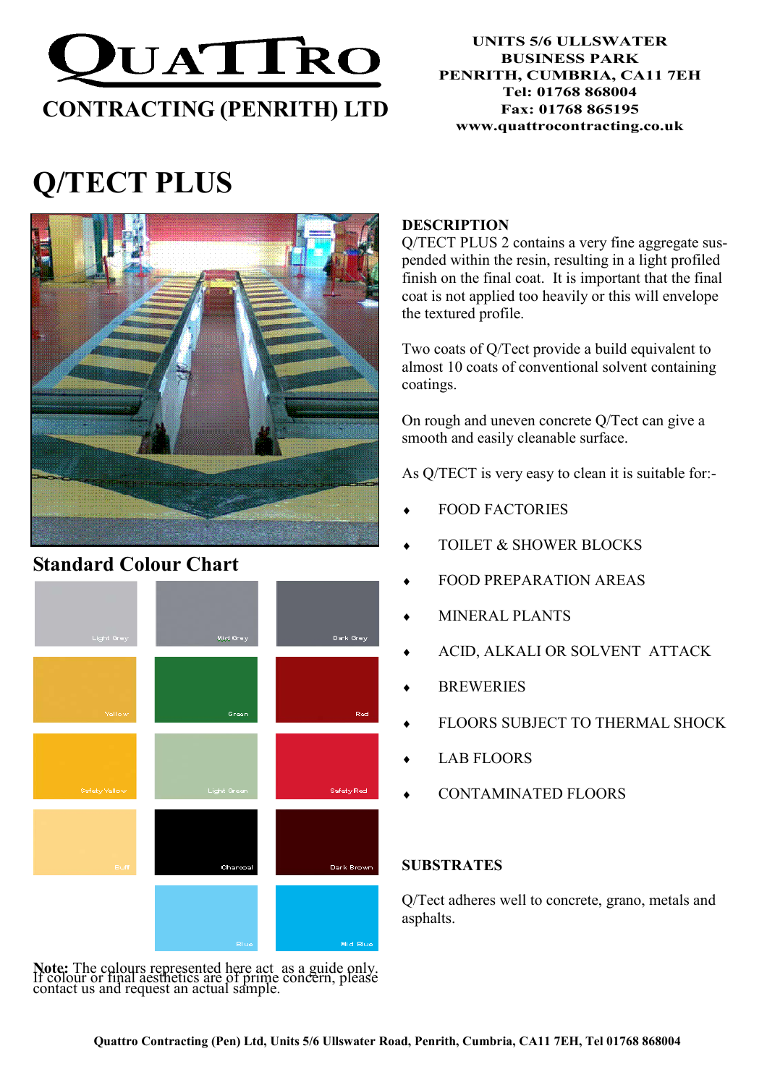

#### UNITS 5/6 ULLSWATER BUSINESS PARK PENRITH, CUMBRIA, CA11 7EH Tel: 01768 868004 Fax: 01768 865195 www.quattrocontracting.co.uk

# Q/TECT PLUS



### Standard Colour Chart



Note: The colours represented here act as a guide only. If colour or final aesthetics are of prime concern, please contact us and request an actual sample.

#### **DESCRIPTION**

Q/TECT PLUS 2 contains a very fine aggregate suspended within the resin, resulting in a light profiled finish on the final coat. It is important that the final coat is not applied too heavily or this will envelope the textured profile.

Two coats of Q/Tect provide a build equivalent to almost 10 coats of conventional solvent containing coatings.

On rough and uneven concrete Q/Tect can give a smooth and easily cleanable surface.

As Q/TECT is very easy to clean it is suitable for:-

- FOOD FACTORIES
- TOILET & SHOWER BLOCKS
- FOOD PREPARATION AREAS
- MINERAL PLANTS
- ACID, ALKALI OR SOLVENT ATTACK
- **BREWERIES**
- FLOORS SUBJECT TO THERMAL SHOCK
- **LAB FLOORS**
- CONTAMINATED FLOORS

#### SUBSTRATES

Q/Tect adheres well to concrete, grano, metals and asphalts.